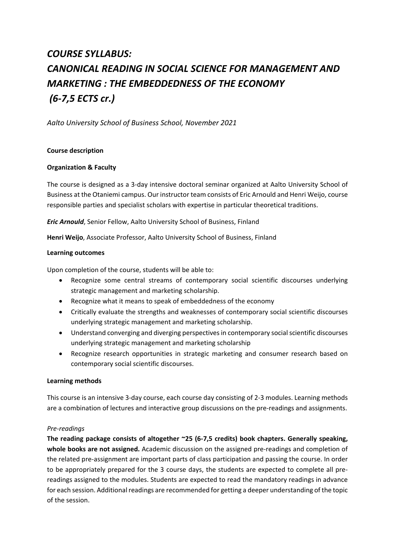# *COURSE SYLLABUS: CANONICAL READING IN SOCIAL SCIENCE FOR MANAGEMENT AND MARKETING : THE EMBEDDEDNESS OF THE ECONOMY (6-7,5 ECTS cr.)*

*Aalto University School of Business School, November 2021*

#### **Course description**

#### **Organization & Faculty**

The course is designed as a 3-day intensive doctoral seminar organized at Aalto University School of Business at the Otaniemi campus. Our instructor team consists of Eric Arnould and Henri Weijo, course responsible parties and specialist scholars with expertise in particular theoretical traditions.

*Eric Arnould*, Senior Fellow, Aalto University School of Business, Finland

**Henri Weijo**, Associate Professor, Aalto University School of Business, Finland

#### **Learning outcomes**

Upon completion of the course, students will be able to:

- Recognize some central streams of contemporary social scientific discourses underlying strategic management and marketing scholarship.
- Recognize what it means to speak of embeddedness of the economy
- Critically evaluate the strengths and weaknesses of contemporary social scientific discourses underlying strategic management and marketing scholarship.
- Understand converging and diverging perspectives in contemporary social scientific discourses underlying strategic management and marketing scholarship
- Recognize research opportunities in strategic marketing and consumer research based on contemporary social scientific discourses.

#### **Learning methods**

This course is an intensive 3-day course, each course day consisting of 2-3 modules. Learning methods are a combination of lectures and interactive group discussions on the pre-readings and assignments.

#### *Pre-readings*

**The reading package consists of altogether ~25 (6-7,5 credits) book chapters. Generally speaking, whole books are not assigned.** Academic discussion on the assigned pre-readings and completion of the related pre-assignment are important parts of class participation and passing the course. In order to be appropriately prepared for the 3 course days, the students are expected to complete all prereadings assigned to the modules. Students are expected to read the mandatory readings in advance for each session. Additional readings are recommended for getting a deeper understanding of the topic of the session.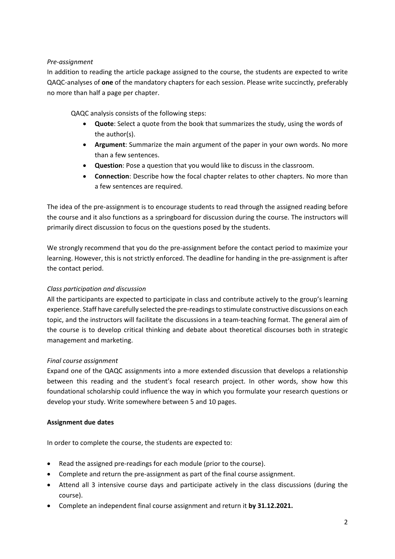#### *Pre-assignment*

In addition to reading the article package assigned to the course, the students are expected to write QAQC-analyses of **one** of the mandatory chapters for each session. Please write succinctly, preferably no more than half a page per chapter.

QAQC analysis consists of the following steps:

- **Quote**: Select a quote from the book that summarizes the study, using the words of the author(s).
- **Argument**: Summarize the main argument of the paper in your own words. No more than a few sentences.
- **Question**: Pose a question that you would like to discuss in the classroom.
- **Connection**: Describe how the focal chapter relates to other chapters. No more than a few sentences are required.

The idea of the pre-assignment is to encourage students to read through the assigned reading before the course and it also functions as a springboard for discussion during the course. The instructors will primarily direct discussion to focus on the questions posed by the students.

We strongly recommend that you do the pre-assignment before the contact period to maximize your learning. However, this is not strictly enforced. The deadline for handing in the pre-assignment is after the contact period.

#### *Class participation and discussion*

All the participants are expected to participate in class and contribute actively to the group's learning experience. Staff have carefully selected the pre-readings to stimulate constructive discussions on each topic, and the instructors will facilitate the discussions in a team-teaching format. The general aim of the course is to develop critical thinking and debate about theoretical discourses both in strategic management and marketing.

#### *Final course assignment*

Expand one of the QAQC assignments into a more extended discussion that develops a relationship between this reading and the student's focal research project. In other words, show how this foundational scholarship could influence the way in which you formulate your research questions or develop your study. Write somewhere between 5 and 10 pages.

#### **Assignment due dates**

In order to complete the course, the students are expected to:

- Read the assigned pre-readings for each module (prior to the course).
- Complete and return the pre-assignment as part of the final course assignment.
- Attend all 3 intensive course days and participate actively in the class discussions (during the course).
- Complete an independent final course assignment and return it **by 31.12.2021.**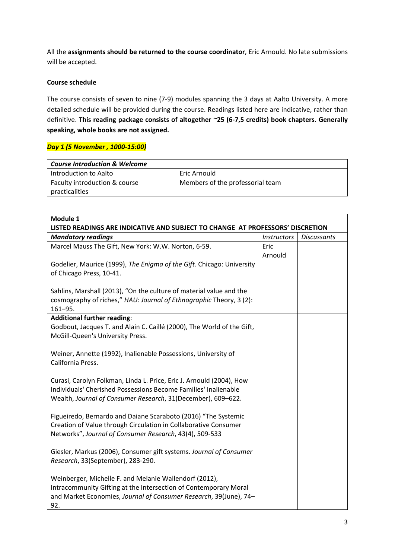All the **assignments should be returned to the course coordinator**, Eric Arnould. No late submissions will be accepted.

#### **Course schedule**

The course consists of seven to nine (7-9) modules spanning the 3 days at Aalto University. A more detailed schedule will be provided during the course. Readings listed here are indicative, rather than definitive. **This reading package consists of altogether ~25 (6-7,5 credits) book chapters. Generally speaking, whole books are not assigned.**

#### *Day 1 (5 November , 1000-15:00)*

| <b>Course Introduction &amp; Welcome</b> |                                  |
|------------------------------------------|----------------------------------|
| Introduction to Aalto                    | Eric Arnould                     |
| Faculty introduction & course            | Members of the professorial team |
| practicalities                           |                                  |

| Module 1                                                                                                                                                                                                |                    |                    |  |
|---------------------------------------------------------------------------------------------------------------------------------------------------------------------------------------------------------|--------------------|--------------------|--|
| LISTED READINGS ARE INDICATIVE AND SUBJECT TO CHANGE AT PROFESSORS' DISCRETION                                                                                                                          |                    |                    |  |
| <b>Mandatory readings</b>                                                                                                                                                                               | <b>Instructors</b> | <b>Discussants</b> |  |
| Marcel Mauss The Gift, New York: W.W. Norton, 6-59.                                                                                                                                                     | Eric<br>Arnould    |                    |  |
| Godelier, Maurice (1999), The Enigma of the Gift. Chicago: University<br>of Chicago Press, 10-41.                                                                                                       |                    |                    |  |
| Sahlins, Marshall (2013), "On the culture of material value and the<br>cosmography of riches," HAU: Journal of Ethnographic Theory, 3 (2):<br>$161 - 95.$                                               |                    |                    |  |
| <b>Additional further reading:</b>                                                                                                                                                                      |                    |                    |  |
| Godbout, Jacques T. and Alain C. Caillé (2000), The World of the Gift,<br>McGill-Queen's University Press.                                                                                              |                    |                    |  |
| Weiner, Annette (1992), Inalienable Possessions, University of<br>California Press.                                                                                                                     |                    |                    |  |
| Curasi, Carolyn Folkman, Linda L. Price, Eric J. Arnould (2004), How<br>Individuals' Cherished Possessions Become Families' Inalienable<br>Wealth, Journal of Consumer Research, 31(December), 609-622. |                    |                    |  |
| Figueiredo, Bernardo and Daiane Scaraboto (2016) "The Systemic<br>Creation of Value through Circulation in Collaborative Consumer<br>Networks", Journal of Consumer Research, 43(4), 509-533            |                    |                    |  |
| Giesler, Markus (2006), Consumer gift systems. Journal of Consumer<br>Research, 33(September), 283-290.                                                                                                 |                    |                    |  |
| Weinberger, Michelle F. and Melanie Wallendorf (2012),<br>Intracommunity Gifting at the Intersection of Contemporary Moral<br>and Market Economies, Journal of Consumer Research, 39(June), 74-<br>92.  |                    |                    |  |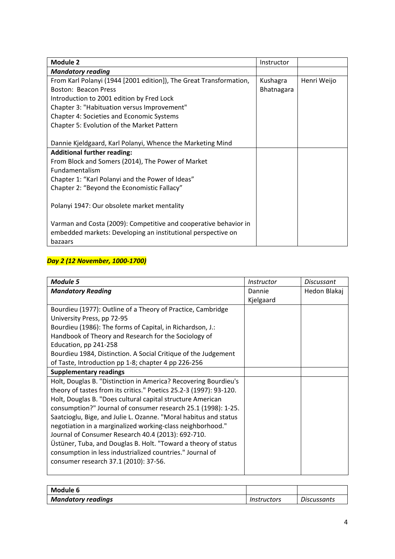| <b>Module 2</b>                                                    | Instructor |             |
|--------------------------------------------------------------------|------------|-------------|
| <b>Mandatory reading</b>                                           |            |             |
| From Karl Polanyi (1944 [2001 edition]), The Great Transformation, | Kushagra   | Henri Weijo |
| Boston: Beacon Press                                               | Bhatnagara |             |
| Introduction to 2001 edition by Fred Lock                          |            |             |
| Chapter 3: "Habituation versus Improvement"                        |            |             |
| <b>Chapter 4: Societies and Economic Systems</b>                   |            |             |
| Chapter 5: Evolution of the Market Pattern                         |            |             |
|                                                                    |            |             |
| Dannie Kjeldgaard, Karl Polanyi, Whence the Marketing Mind         |            |             |
| <b>Additional further reading:</b>                                 |            |             |
| From Block and Somers (2014), The Power of Market                  |            |             |
| Fundamentalism                                                     |            |             |
| Chapter 1: "Karl Polanyi and the Power of Ideas"                   |            |             |
| Chapter 2: "Beyond the Economistic Fallacy"                        |            |             |
|                                                                    |            |             |
| Polanyi 1947: Our obsolete market mentality                        |            |             |
|                                                                    |            |             |
| Varman and Costa (2009): Competitive and cooperative behavior in   |            |             |
| embedded markets: Developing an institutional perspective on       |            |             |
| bazaars                                                            |            |             |

## *Day 2 (12 November, 1000-1700)*

| <b>Module 5</b>                                                    | <i>Instructor</i> | Discussant   |
|--------------------------------------------------------------------|-------------------|--------------|
| <b>Mandatory Reading</b>                                           | Dannie            | Hedon Blakaj |
|                                                                    | Kjelgaard         |              |
| Bourdieu (1977): Outline of a Theory of Practice, Cambridge        |                   |              |
| University Press, pp 72-95                                         |                   |              |
| Bourdieu (1986): The forms of Capital, in Richardson, J.:          |                   |              |
| Handbook of Theory and Research for the Sociology of               |                   |              |
| Education, pp 241-258                                              |                   |              |
| Bourdieu 1984, Distinction. A Social Critique of the Judgement     |                   |              |
| of Taste, Introduction pp 1-8; chapter 4 pp 226-256                |                   |              |
| <b>Supplementary readings</b>                                      |                   |              |
| Holt, Douglas B. "Distinction in America? Recovering Bourdieu's    |                   |              |
| theory of tastes from its critics." Poetics 25.2-3 (1997): 93-120. |                   |              |
| Holt, Douglas B. "Does cultural capital structure American         |                   |              |
| consumption?" Journal of consumer research 25.1 (1998): 1-25.      |                   |              |
| Saatcioglu, Bige, and Julie L. Ozanne. "Moral habitus and status   |                   |              |
| negotiation in a marginalized working-class neighborhood."         |                   |              |
| Journal of Consumer Research 40.4 (2013): 692-710.                 |                   |              |
| Üstüner, Tuba, and Douglas B. Holt. "Toward a theory of status     |                   |              |
| consumption in less industrialized countries." Journal of          |                   |              |
| consumer research 37.1 (2010): 37-56.                              |                   |              |
|                                                                    |                   |              |

| Module 6                  |             |                    |
|---------------------------|-------------|--------------------|
| <b>Mandatory readings</b> | Instructors | <b>Discussants</b> |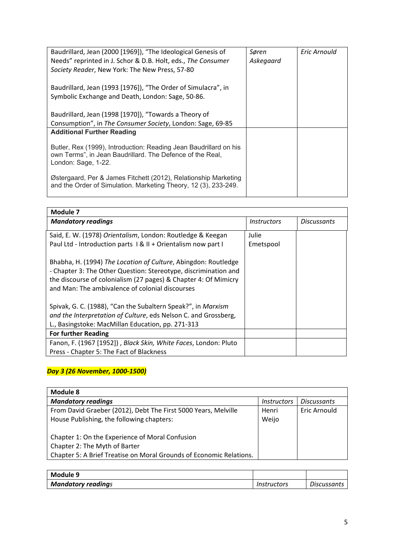| Baudrillard, Jean (2000 [1969]), "The Ideological Genesis of                     | Søren     | Eric Arnould |
|----------------------------------------------------------------------------------|-----------|--------------|
| Needs" reprinted in J. Schor & D.B. Holt, eds., The Consumer                     | Askegaard |              |
| Society Reader, New York: The New Press, 57-80                                   |           |              |
|                                                                                  |           |              |
| Baudrillard, Jean (1993 [1976]), "The Order of Simulacra", in                    |           |              |
| Symbolic Exchange and Death, London: Sage, 50-86.                                |           |              |
|                                                                                  |           |              |
| Baudrillard, Jean (1998 [1970]), "Towards a Theory of                            |           |              |
| Consumption", in The Consumer Society, London: Sage, 69-85                       |           |              |
| <b>Additional Further Reading</b>                                                |           |              |
|                                                                                  |           |              |
| Butler, Rex (1999), Introduction: Reading Jean Baudrillard on his                |           |              |
| own Terms", in Jean Baudrillard. The Defence of the Real,<br>London: Sage, 1-22. |           |              |
|                                                                                  |           |              |
| Østergaard, Per & James Fitchett (2012), Relationship Marketing                  |           |              |
| and the Order of Simulation. Marketing Theory, 12 (3), 233-249.                  |           |              |
|                                                                                  |           |              |

| Module 7                                                                                                                                                                                                                                                |                                  |                    |
|---------------------------------------------------------------------------------------------------------------------------------------------------------------------------------------------------------------------------------------------------------|----------------------------------|--------------------|
| <b>Mandatory readings</b>                                                                                                                                                                                                                               | <i><u><b>Instructors</b></u></i> | <b>Discussants</b> |
| Said, E. W. (1978) Orientalism, London: Routledge & Keegan                                                                                                                                                                                              | Julie                            |                    |
| Paul Ltd - Introduction parts 1 & II + Orientalism now part I                                                                                                                                                                                           | Emetspool                        |                    |
| Bhabha, H. (1994) The Location of Culture, Abingdon: Routledge<br>- Chapter 3: The Other Question: Stereotype, discrimination and<br>the discourse of colonialism (27 pages) & Chapter 4: Of Mimicry<br>and Man: The ambivalence of colonial discourses |                                  |                    |
| Spivak, G. C. (1988), "Can the Subaltern Speak?", in Marxism                                                                                                                                                                                            |                                  |                    |
| and the Interpretation of Culture, eds Nelson C. and Grossberg,                                                                                                                                                                                         |                                  |                    |
| L., Basingstoke: MacMillan Education, pp. 271-313                                                                                                                                                                                                       |                                  |                    |
| <b>For further Reading</b>                                                                                                                                                                                                                              |                                  |                    |
| Fanon, F. (1967 [1952]), Black Skin, White Faces, London: Pluto                                                                                                                                                                                         |                                  |                    |
| Press - Chapter 5: The Fact of Blackness                                                                                                                                                                                                                |                                  |                    |

### *Day 3 (26 November, 1000-1500)*

| <b>Module 8</b>                                                                  |                    |                    |
|----------------------------------------------------------------------------------|--------------------|--------------------|
| <b>Mandatory readings</b>                                                        | <i>Instructors</i> | <b>Discussants</b> |
| From David Graeber (2012), Debt The First 5000 Years, Melville                   | Henri              | Eric Arnould       |
| House Publishing, the following chapters:                                        | Weijo              |                    |
| Chapter 1: On the Experience of Moral Confusion<br>Chapter 2: The Myth of Barter |                    |                    |
| Chapter 5: A Brief Treatise on Moral Grounds of Economic Relations.              |                    |                    |

| Module 9                  |             |                    |
|---------------------------|-------------|--------------------|
| <b>Mandatory readings</b> | Instructors | <b>Discussants</b> |